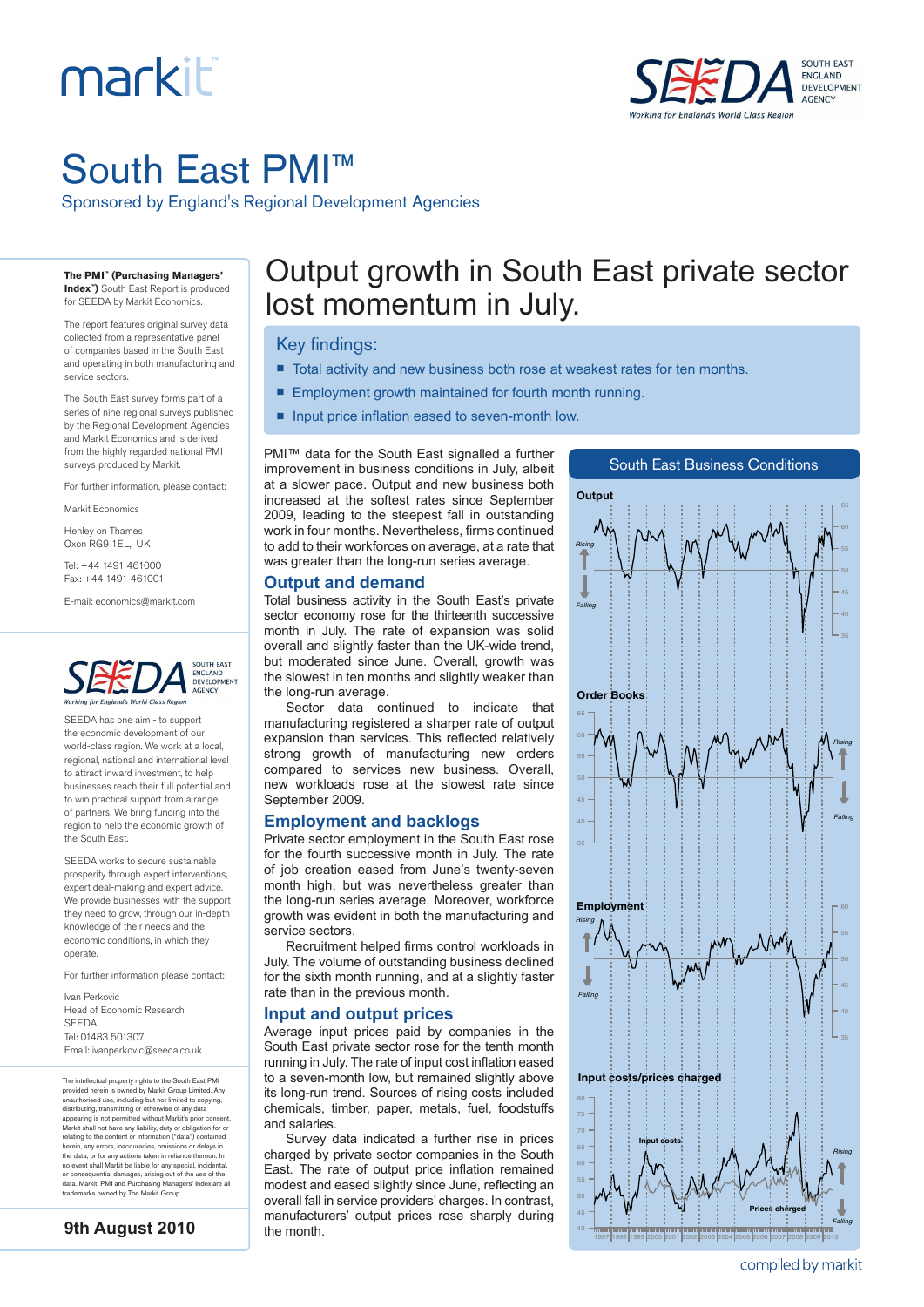# markiti



## South East PMI™

Sponsored by England's Regional Development Agencies

**The PMI™ (Purchasing Managers' Index™)** South East Report is produced

for SEEDA by Markit Economics.

The report features original survey data collected from a representative panel of companies based in the South East and operating in both manufacturing and service sectors.

The South East survey forms part of a series of nine regional surveys published by the Regional Development Agencies and Markit Economics and is derived from the highly regarded national PMI surveys produced by Markit.

For further information, please contact:

Markit Economics

Henley on Thames Oxon RG9 1EL, UK

Tel: +44 1491 461000 Fax: +44 1491 461001

E-mail: economics@markit.com



SEEDA has one aim - to support the economic development of our world-class region. We work at a local, regional, national and international level to attract inward investment, to help businesses reach their full potential and to win practical support from a range of partners. We bring funding into the region to help the economic growth of the South East.

SEEDA works to secure sustainable prosperity through expert interventions, expert deal-making and expert advice. We provide businesses with the support they need to grow, through our in-depth knowledge of their needs and the economic conditions, in which they operate.

For further information please contact:

Ivan Perkovic Head of Economic Research SEEDA Tel: 01483 501307 Email: ivanperkovic@seeda.co.uk

The intellectual property rights to the South East PMI provided herein is owned by Markit Group Limited. Any<br>unauthorised use, including but not limited to copying,<br>distributing, transmitting or otherwise of any data<br>appearing is not permitted without Markit's prior consent.<br>M herein, any errors, inaccuracies, omissions or delays in the data, or for any actions taken in reliance thereon. In no event shall Markit be liable for any special, incidental, or consequential damages, arising out of the use of the data. Markit, PMI and Purchasing Managers' Index are all trademarks owned by The Markit Group.

```
9th August 2010
```
### Output growth in South East private sector lost momentum in July.

#### Key findings:

- Total activity and new business both rose at weakest rates for ten months.
- Employment growth maintained for fourth month running.
- n Input price inflation eased to seven-month low.

PMI™ data for the South East signalled a further improvement in business conditions in July, albeit at a slower pace. Output and new business both increased at the softest rates since September 2009, leading to the steepest fall in outstanding work in four months. Nevertheless, firms continued to add to their workforces on average, at a rate that was greater than the long-run series average.



South East Business Conditions

**Output and demand**

Total business activity in the South East's private sector economy rose for the thirteenth successive month in July. The rate of expansion was solid overall and slightly faster than the UK-wide trend, but moderated since June. Overall, growth was the slowest in ten months and slightly weaker than the long-run average.

Sector data continued to indicate that manufacturing registered a sharper rate of output expansion than services. This reflected relatively strong growth of manufacturing new orders compared to services new business. Overall, new workloads rose at the slowest rate since September 2009.

#### **Employment and backlogs**

Private sector employment in the South East rose for the fourth successive month in July. The rate of job creation eased from June's twenty-seven month high, but was nevertheless greater than the long-run series average. Moreover, workforce growth was evident in both the manufacturing and service sectors

Recruitment helped firms control workloads in July. The volume of outstanding business declined for the sixth month running, and at a slightly faster rate than in the previous month.

#### **Input and output prices**

Average input prices paid by companies in the South East private sector rose for the tenth month running in July. The rate of input cost inflation eased to a seven-month low, but remained slightly above its long-run trend. Sources of rising costs included chemicals, timber, paper, metals, fuel, foodstuffs and salaries.

Survey data indicated a further rise in prices charged by private sector companies in the South East. The rate of output price inflation remained modest and eased slightly since June, reflecting an overall fall in service providers' charges. In contrast, manufacturers' output prices rose sharply during the month.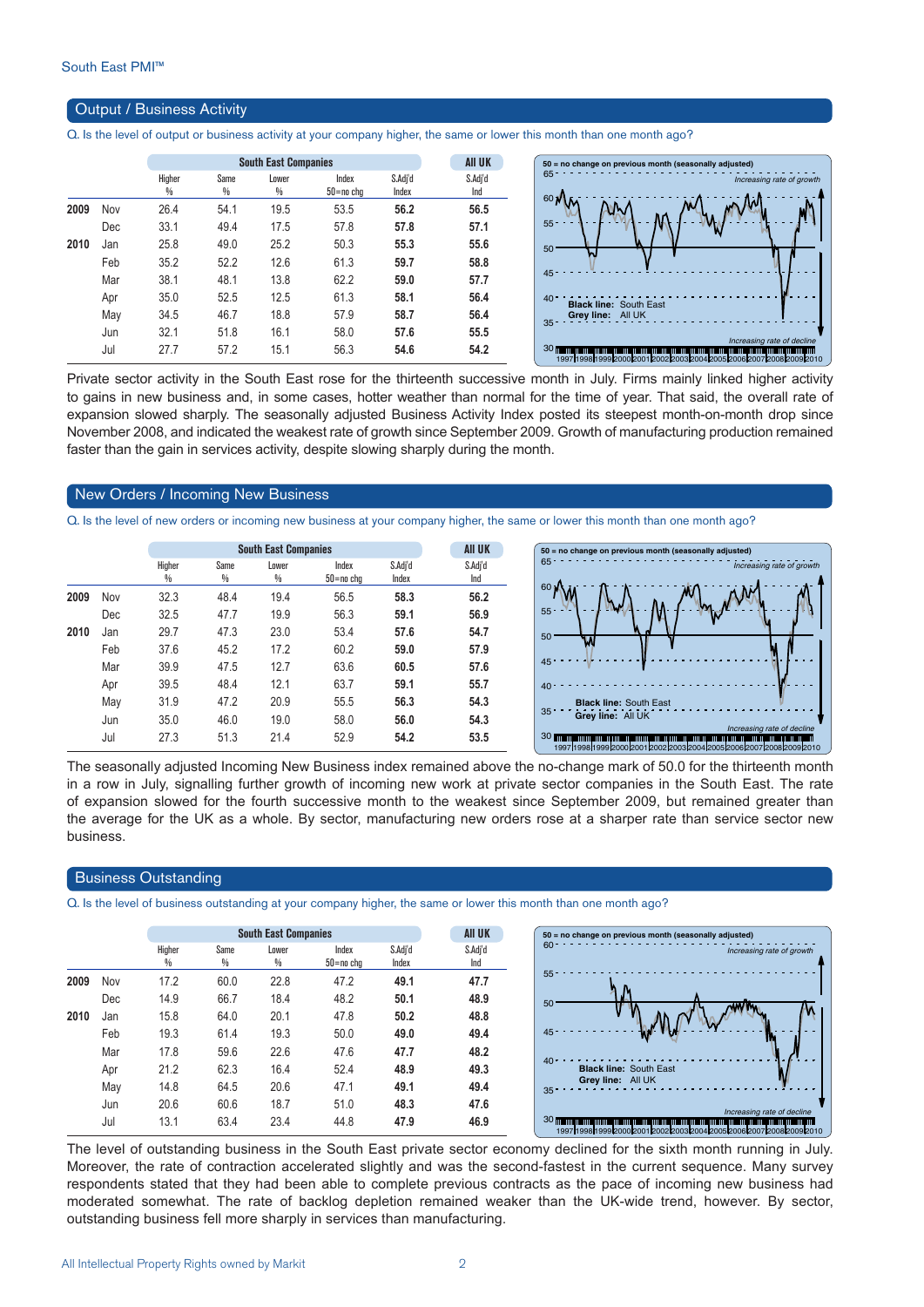#### Output / Business Activity

Q. Is the level of output or business activity at your company higher, the same or lower this month than one month ago?

|      |     |                         | <b>South East Companies</b> |            | <b>AII UK</b>          |                  |                |
|------|-----|-------------------------|-----------------------------|------------|------------------------|------------------|----------------|
|      |     | Higher<br>$\frac{0}{0}$ | Same<br>$\frac{0}{0}$       | Lower<br>% | Index<br>$50 = no$ chg | S.Adi'd<br>Index | S.Adi'd<br>Ind |
| 2009 | Nov | 26.4                    | 54.1                        | 19.5       | 53.5                   | 56.2             | 56.5           |
|      | Dec | 33.1                    | 49.4                        | 17.5       | 57.8                   | 57.8             | 57.1           |
| 2010 | Jan | 25.8                    | 49.0                        | 25.2       | 50.3                   | 55.3             | 55.6           |
|      | Feb | 35.2                    | 52.2                        | 12.6       | 61.3                   | 59.7             | 58.8           |
|      | Mar | 38.1                    | 48.1                        | 13.8       | 62.2                   | 59.0             | 57.7           |
|      | Apr | 35.0                    | 52.5                        | 12.5       | 61.3                   | 58.1             | 56.4           |
|      | May | 34.5                    | 46.7                        | 18.8       | 57.9                   | 58.7             | 56.4           |
|      | Jun | 32.1                    | 51.8                        | 16.1       | 58.0                   | 57.6             | 55.5           |
|      | Jul | 27.7                    | 57.2                        | 15.1       | 56.3                   | 54.6             | 54.2           |
|      |     |                         |                             |            |                        |                  |                |



Private sector activity in the South East rose for the thirteenth successive month in July. Firms mainly linked higher activity to gains in new business and, in some cases, hotter weather than normal for the time of year. That said, the overall rate of expansion slowed sharply. The seasonally adjusted Business Activity Index posted its steepest month-on-month drop since November 2008, and indicated the weakest rate of growth since September 2009. Growth of manufacturing production remained faster than the gain in services activity, despite slowing sharply during the month.

#### New Orders / Incoming New Business

Q. Is the level of new orders or incoming new business at your company higher, the same or lower this month than one month ago?

|      |     |             |           | <b>South East Companies</b> |                    |                  | <b>AII UK</b>  |
|------|-----|-------------|-----------|-----------------------------|--------------------|------------------|----------------|
|      |     | Higher<br>% | Same<br>% | Lower<br>%                  | Index<br>50=no cha | S.Adj'd<br>Index | S.Adj'd<br>Ind |
| 2009 | Nov | 32.3        | 48.4      | 19.4                        | 56.5               | 58.3             | 56.2           |
|      | Dec | 32.5        | 47.7      | 19.9                        | 56.3               | 59.1             | 56.9           |
| 2010 | Jan | 29.7        | 47.3      | 23.0                        | 53.4               | 57.6             | 54.7           |
|      | Feb | 37.6        | 45.2      | 17.2                        | 60.2               | 59.0             | 57.9           |
|      | Mar | 39.9        | 47.5      | 12.7                        | 63.6               | 60.5             | 57.6           |
|      | Apr | 39.5        | 48.4      | 12.1                        | 63.7               | 59.1             | 55.7           |
|      | May | 31.9        | 47.2      | 20.9                        | 55.5               | 56.3             | 54.3           |
|      | Jun | 35.0        | 46.0      | 19.0                        | 58.0               | 56.0             | 54.3           |
|      | Jul | 27.3        | 51.3      | 21.4                        | 52.9               | 54.2             | 53.5           |
|      |     |             |           |                             |                    |                  |                |



The seasonally adjusted Incoming New Business index remained above the no-change mark of 50.0 for the thirteenth month in a row in July, signalling further growth of incoming new work at private sector companies in the South East. The rate of expansion slowed for the fourth successive month to the weakest since September 2009, but remained greater than the average for the UK as a whole. By sector, manufacturing new orders rose at a sharper rate than service sector new business.

#### Business Outstanding

Q. Is the level of business outstanding at your company higher, the same or lower this month than one month ago?

|      |            |             |           | <b>South East Companies</b> |                    |                  | <b>AII UK</b>  |
|------|------------|-------------|-----------|-----------------------------|--------------------|------------------|----------------|
|      |            | Higher<br>% | Same<br>% | Lower<br>%                  | Index<br>50=no cha | S.Adj'd<br>Index | S.Adj'd<br>Ind |
| 2009 | <b>Nov</b> | 17.2        | 60.0      | 22.8                        | 47.2               | 49.1             | 47.7           |
|      | Dec        | 14.9        | 66.7      | 18.4                        | 48.2               | 50.1             | 48.9           |
| 2010 | Jan        | 15.8        | 64.0      | 20.1                        | 47.8               | 50.2             | 48.8           |
|      | Feb        | 19.3        | 61.4      | 19.3                        | 50.0               | 49.0             | 49.4           |
|      | Mar        | 17.8        | 59.6      | 22.6                        | 47.6               | 47.7             | 48.2           |
|      | Apr        | 21.2        | 62.3      | 16.4                        | 52.4               | 48.9             | 49.3           |
|      | May        | 14.8        | 64.5      | 20.6                        | 47.1               | 49.1             | 49.4           |
|      | Jun        | 20.6        | 60.6      | 18.7                        | 51.0               | 48.3             | 47.6           |
|      | Jul        | 13.1        | 63.4      | 23.4                        | 44.8               | 47.9             | 46.9           |

The level of outstanding business in the South East private sector economy declined for the sixth month running in July. Moreover, the rate of contraction accelerated slightly and was the second-fastest in the current sequence. Many survey respondents stated that they had been able to complete previous contracts as the pace of incoming new business had moderated somewhat. The rate of backlog depletion remained weaker than the UK-wide trend, however. By sector, outstanding business fell more sharply in services than manufacturing.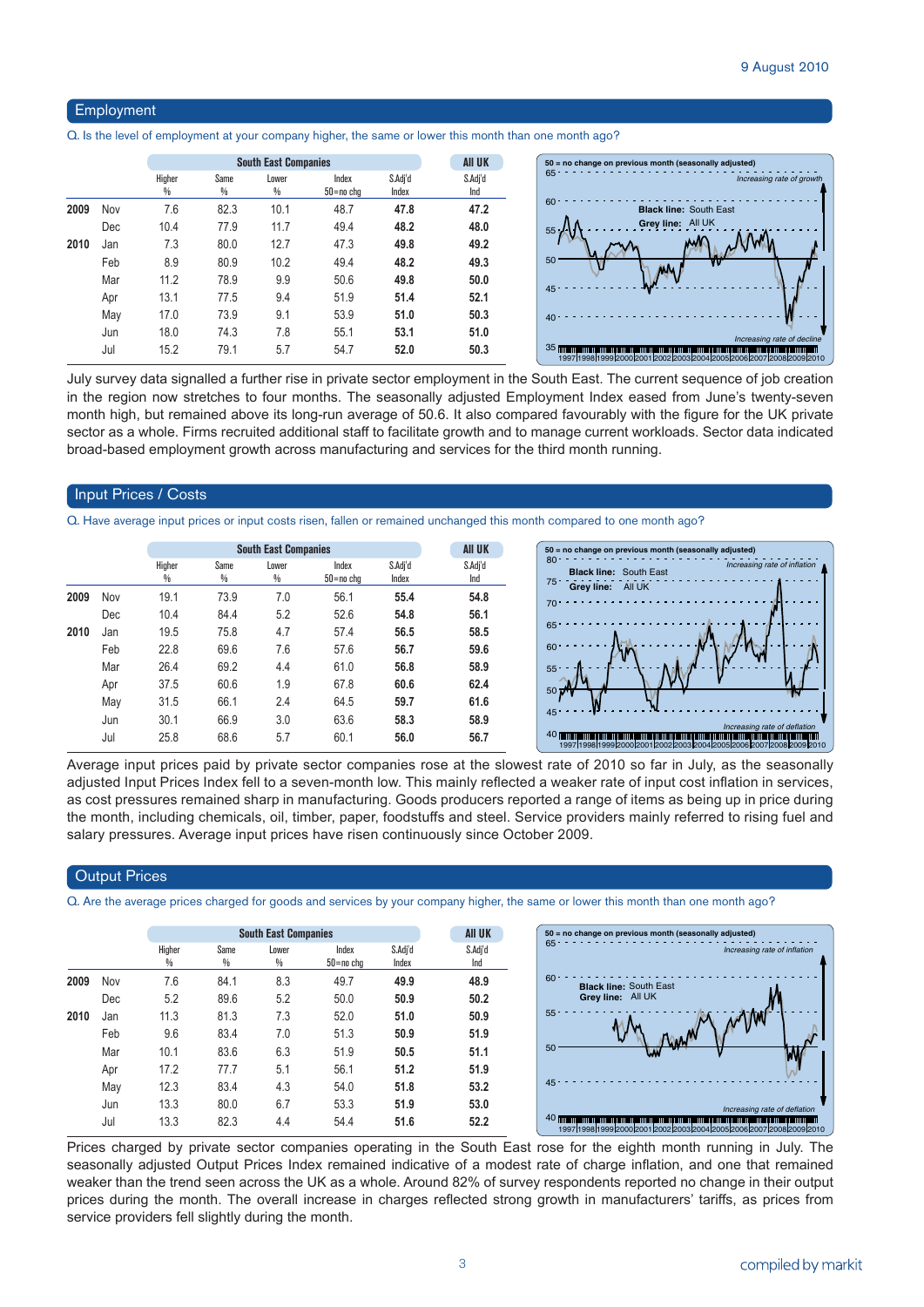#### Employment

Q. Is the level of employment at your company higher, the same or lower this month than one month ago?

|      |     | <b>South East Companies</b> |           |            |                    |                  | <b>AII UK</b>  |
|------|-----|-----------------------------|-----------|------------|--------------------|------------------|----------------|
|      |     | Higher<br>%                 | Same<br>% | Lower<br>% | Index<br>50=no chg | S.Adj'd<br>Index | S.Adj'd<br>Ind |
| 2009 | Nov | 7.6                         | 82.3      | 10.1       | 48.7               | 47.8             | 47.2           |
|      | Dec | 10.4                        | 77.9      | 11.7       | 49.4               | 48.2             | 48.0           |
| 2010 | Jan | 7.3                         | 80.0      | 12.7       | 47.3               | 49.8             | 49.2           |
|      | Feb | 8.9                         | 80.9      | 10.2       | 49.4               | 48.2             | 49.3           |
|      | Mar | 11.2                        | 78.9      | 9.9        | 50.6               | 49.8             | 50.0           |
|      | Apr | 13.1                        | 77.5      | 9.4        | 51.9               | 51.4             | 52.1           |
|      | May | 17.0                        | 73.9      | 9.1        | 53.9               | 51.0             | 50.3           |
|      | Jun | 18.0                        | 74.3      | 7.8        | 55.1               | 53.1             | 51.0           |
|      | Jul | 15.2                        | 79.1      | 5.7        | 54.7               | 52.0             | 50.3           |

July survey data signalled a further rise in private sector employment in the South East. The current sequence of job creation in the region now stretches to four months. The seasonally adjusted Employment Index eased from June's twenty-seven month high, but remained above its long-run average of 50.6. It also compared favourably with the figure for the UK private sector as a whole. Firms recruited additional staff to facilitate growth and to manage current workloads. Sector data indicated broad-based employment growth across manufacturing and services for the third month running.

#### Input Prices / Costs

Q. Have average input prices or input costs risen, fallen or remained unchanged this month compared to one month ago?

|      |     |                         | <b>South East Companies</b> | <b>AII UK</b> | $50 =$                 |                  |                |                                    |
|------|-----|-------------------------|-----------------------------|---------------|------------------------|------------------|----------------|------------------------------------|
|      |     | Higher<br>$\frac{0}{0}$ | Same<br>%                   | Lower<br>$\%$ | Index<br>$50 = no$ cha | S.Adj'd<br>Index | S.Adj'd<br>Ind | 80 <sub>1</sub><br>75 <sup>1</sup> |
| 2009 | Nov | 19.1                    | 73.9                        | 7.0           | 56.1                   | 55.4             | 54.8           | 70 <sup>1</sup>                    |
|      | Dec | 10.4                    | 84.4                        | 5.2           | 52.6                   | 54.8             | 56.1           |                                    |
| 2010 | Jan | 19.5                    | 75.8                        | 4.7           | 57.4                   | 56.5             | 58.5           | 65 <sup>5</sup>                    |
|      | Feb | 22.8                    | 69.6                        | 7.6           | 57.6                   | 56.7             | 59.6           | 60 <sup>1</sup>                    |
|      | Mar | 26.4                    | 69.2                        | 4.4           | 61.0                   | 56.8             | 58.9           | 55 <sup>5</sup>                    |
|      | Apr | 37.5                    | 60.6                        | 1.9           | 67.8                   | 60.6             | 62.4           | 50 <sup>°</sup>                    |
|      | May | 31.5                    | 66.1                        | 2.4           | 64.5                   | 59.7             | 61.6           |                                    |
|      | Jun | 30.1                    | 66.9                        | 3.0           | 63.6                   | 58.3             | 58.9           | 45 <sup>°</sup>                    |
|      | Jul | 25.8                    | 68.6                        | 5.7           | 60.1                   | 56.0             | 56.7           | 40                                 |



Average input prices paid by private sector companies rose at the slowest rate of 2010 so far in July, as the seasonally adjusted Input Prices Index fell to a seven-month low. This mainly reflected a weaker rate of input cost inflation in services, as cost pressures remained sharp in manufacturing. Goods producers reported a range of items as being up in price during the month, including chemicals, oil, timber, paper, foodstuffs and steel. Service providers mainly referred to rising fuel and salary pressures. Average input prices have risen continuously since October 2009.

#### **Output Prices**

Q. Are the average prices charged for goods and services by your company higher, the same or lower this month than one month ago?

|      |            |             |           | <b>South East Companies</b> |                    |                  | <b>AII UK</b>  | $50 = no$ change on previous month (seasonally adjusted)                                                                                                                                   |                              |
|------|------------|-------------|-----------|-----------------------------|--------------------|------------------|----------------|--------------------------------------------------------------------------------------------------------------------------------------------------------------------------------------------|------------------------------|
|      |            | Higher<br>₩ | Same<br>% | Lower<br>%                  | Index<br>50=no chg | S.Adi'd<br>Index | S.Adj'd<br>Ind | $65 -$                                                                                                                                                                                     | Increasing rate of inflation |
| 2009 | <b>Nov</b> | 7.6         | 84.1      | 8.3                         | 49.7               | 49.9             | 48.9           | $60 -$<br><b>Black line: South East</b>                                                                                                                                                    |                              |
|      | Dec        | 5.2         | 89.6      | 5.2                         | 50.0               | 50.9             | 50.2           | Grey line: All UK                                                                                                                                                                          |                              |
| 2010 | Jan        | 11.3        | 81.3      | 7.3                         | 52.0               | 51.0             | 50.9           | 55 <sub>1</sub>                                                                                                                                                                            |                              |
|      | Feb        | 9.6         | 83.4      | 7.0                         | 51.3               | 50.9             | 51.9           |                                                                                                                                                                                            |                              |
|      | Mar        | 10.1        | 83.6      | 6.3                         | 51.9               | 50.5             | 51.1           | 50<br>W                                                                                                                                                                                    |                              |
|      | Apr        | 17.2        | 77.7      | 5.1                         | 56.1               | 51.2             | 51.9           |                                                                                                                                                                                            |                              |
|      | May        | 12.3        | 83.4      | 4.3                         | 54.0               | 51.8             | 53.2           | 45 -                                                                                                                                                                                       |                              |
|      | Jun        | 13.3        | 80.0      | 6.7                         | 53.3               | 51.9             | 53.0           |                                                                                                                                                                                            | Increasing rate of deflation |
|      | Jul        | 13.3        | 82.3      | 4.4                         | 54.4               | 51.6             | 52.2           | 40 The component of the control of the control of the control of the control of the control of the control of the<br>1997 1998 1999 2000 2001 2002 2003 2004 2005 2006 2007 2008 2009 2010 |                              |

Prices charged by private sector companies operating in the South East rose for the eighth month running in July. The seasonally adjusted Output Prices Index remained indicative of a modest rate of charge inflation, and one that remained weaker than the trend seen across the UK as a whole. Around 82% of survey respondents reported no change in their output prices during the month. The overall increase in charges reflected strong growth in manufacturers' tariffs, as prices from service providers fell slightly during the month.